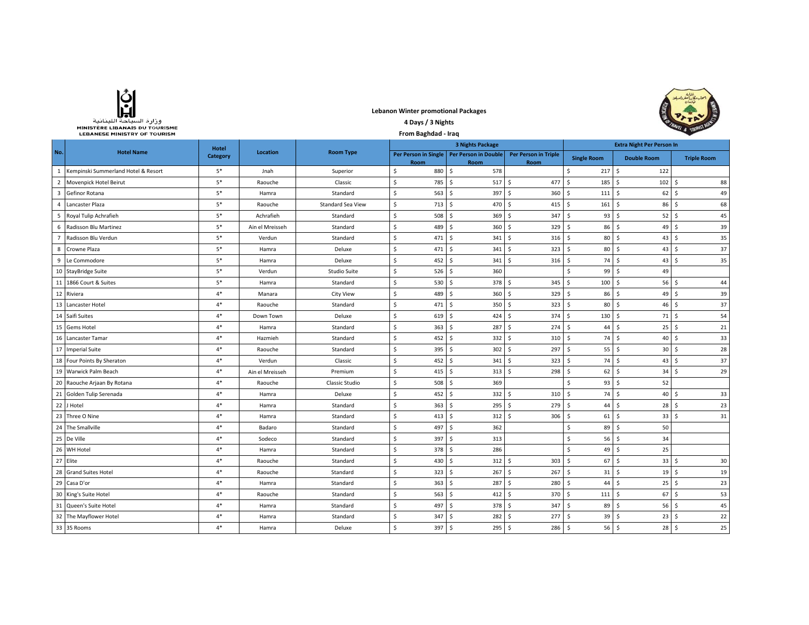| وزارة السياحة اللينانية               |
|---------------------------------------|
| <b>MINISTÈRE LIBANAIS DU TOURISME</b> |
| <b>LEBANESE MINISTRY OF TOURISM</b>   |

## **Lebanon Winter promotional Packages 4 Days / 3 Nights**



|                         | LEBANESE MINISTRY OF TOURISM        | From Baghdad - Iraq |                 |                          |    |        |                                                     | $\frac{d}{dx}$ (now                 |                                  |                                     |                    |  |
|-------------------------|-------------------------------------|---------------------|-----------------|--------------------------|----|--------|-----------------------------------------------------|-------------------------------------|----------------------------------|-------------------------------------|--------------------|--|
|                         | <b>Hotel</b>                        |                     |                 |                          |    |        | <b>3 Nights Package</b>                             |                                     | <b>Extra Night Per Person In</b> |                                     |                    |  |
| No.                     | <b>Hotel Name</b>                   | Category            | Location        | <b>Room Type</b>         |    | Room   | Per Person in Single   Per Person in Double<br>Room | <b>Per Person in Triple</b><br>Room | <b>Single Room</b>               | <b>Double Room</b>                  | <b>Triple Room</b> |  |
| 1                       | Kempinski Summerland Hotel & Resort | $5*$                | Jnah            | Superior                 | Ŝ. | 880    | Ŝ.<br>578                                           |                                     | Ś.                               | 217S<br>122                         |                    |  |
| $\overline{2}$          | Movenpick Hotel Beirut              | $5*$                | Raouche         | Classic                  | \$ | 785    | \$<br>517S                                          | 477                                 | 185<br>\$                        | l \$<br>102                         | 88<br>-Ś           |  |
| $\overline{\mathbf{3}}$ | Gefinor Rotana                      | $5*$                | Hamra           | Standard                 | Ŝ. | 563    | \$<br>397                                           | -\$<br>360                          | \$                               | 111S<br>62                          | 49<br>-Ś           |  |
| $\mathbf{A}$            | Lancaster Plaza                     | $5*$                | Raouche         | <b>Standard Sea View</b> | \$ | 713    | Ŝ.<br>470                                           | -\$<br>415                          | $\mathsf{S}$                     | $161 \quad $$<br>86                 | -Ś<br>68           |  |
| 5                       | Royal Tulip Achrafieh               | $5*$                | Achrafieh       | Standard                 | \$ | 508    | Ŝ.<br>$369$ \$                                      | 347                                 | Ŝ.                               | $93$ $\frac{1}{5}$<br>52            | l \$<br>45         |  |
| 6                       | Radisson Blu Martinez               | $5*$                | Ain el Mreisseh | Standard                 | \$ | 489    | \$<br>360                                           | 329<br>-\$                          | \$<br>86                         | 49<br>-\$                           | 39<br>-Ś           |  |
|                         | Radisson Blu Verdun                 | $5*$                | Verdun          | Standard                 | \$ | 471    | Ś<br>341                                            | $\mathsf{S}$<br>316                 | 80<br>\$                         | 43<br>-\$                           | 35<br>Ŝ            |  |
| 8                       | Crowne Plaza                        | $5*$                | Hamra           | Deluxe                   | \$ | 471    | Ś<br>341                                            | 323<br>\$                           | 80<br>Ś                          | 43<br>S.                            | 37<br><b>S</b>     |  |
| 9                       | Le Commodore                        | $5*$                | Hamra           | Deluxe                   | \$ | 452    | Ś<br>341                                            | 316<br>Ś                            | 74<br>Ŝ.                         | 43<br>-\$                           | 35<br>-Ś           |  |
| 10                      | <b>StayBridge Suite</b>             | $5*$                | Verdun          | Studio Suite             | Ŝ. | 526    | 360<br>Ś                                            |                                     | Ś<br>99                          | Ŝ.<br>49                            |                    |  |
| 11                      | 1866 Court & Suites                 | $5*$                | Hamra           | Standard                 | Ŝ. | 530    | Ś<br>378 \$                                         | 345                                 | Ŝ.<br>100                        | Ŝ.<br>56                            | 44<br>-Ś           |  |
| 12                      | Riviera                             | $4*$                | Manara          | <b>City View</b>         | Ŝ. | 489    | Ŝ.<br>360S                                          | 329                                 | 86<br>$\ddot{\mathsf{s}}$        | Ŝ<br>49                             | 39<br>-S           |  |
| 13                      | Lancaster Hotel                     | $4*$                | Raouche         | Standard                 | Ŝ. | 471    | 350S<br>Ŝ.                                          | 323                                 | 80<br>-\$                        | -\$<br>46                           | 37<br>S,           |  |
| 14                      | Saifi Suites                        | $4*$                | Down Town       | Deluxe                   | Ŝ. | 619    | Ŝ.<br>424S                                          | 374S                                | 130                              | 71<br>- Ś                           | 54<br>-Ś           |  |
| 15                      | Gems Hotel                          | $4*$                | Hamra           | Standard                 | \$ | 363    | \$<br>287                                           | l \$<br>274                         | \$<br>44                         | 25<br>S.                            | 21<br>-Ś           |  |
| 16                      | Lancaster Tamar                     | $4*$                | Hazmieh         | Standard                 | \$ | 452    | Ŝ.<br>$332 \quad $$                                 | 310                                 | \$                               | 74S<br>40                           | 33<br>-Ś           |  |
| 17                      | <b>Imperial Suite</b>               | $4*$                | Raouche         | Standard                 | \$ | 395    | $\mathsf{S}$<br>$302 \quad $$                       | 297                                 | Ŝ.                               | $55$ $\overline{\phantom{1}}$<br>30 | l s<br>28          |  |
| 18                      | Four Points By Sheraton             | $4*$                | Verdun          | Classic                  | \$ | 452    | l \$<br>341S                                        | 323                                 | S.                               | 74S<br>43                           | 37<br>l \$         |  |
| 19                      | Warwick Palm Beach                  | $4*$                | Ain el Mreisseh | Premium                  | \$ | 415    | S.<br>$313 \quad $5$                                | 298                                 | 62<br>S.                         | 34<br>-\$                           | 29<br>l S          |  |
| 20                      | Raouche Arjaan By Rotana            | $4*$                | Raouche         | Classic Studio           | \$ | 508    | 369<br>\$                                           |                                     | Ś                                | $93 \quad $5$<br>52                 |                    |  |
| 21                      | Golden Tulip Serenada               | $4*$                | Hamra           | Deluxe                   | \$ | 452    | $332 \quad$ \$<br>\$                                | 310                                 | \$                               | 74S<br>40                           | 33<br>-Ś           |  |
| 22                      | J Hotel                             | $4*$                | Hamra           | Standard                 | \$ | 363    | Ś<br>295                                            | -\$<br>279                          | Ś<br>44                          | 28<br>-\$                           | 23<br>-Ś           |  |
| 23                      | Three O Nine                        | $4*$                | Hamra           | Standard                 | \$ | 413    | Ś<br>312                                            | Ś<br>306                            | \$                               | $61$ $\sqrt{5}$<br>33               | 31<br>$\zeta$      |  |
| 24                      | The Smallville                      | $4*$                | Badaro          | Standard                 | Ŝ. | 497    | Ś<br>362                                            |                                     | Ś<br>89                          | S.<br>50                            |                    |  |
| 25                      | De Ville                            | $4*$                | Sodeco          | Standard                 | Ŝ. | 397    | Ŝ.<br>313                                           |                                     | Ś.                               | $56$ \$<br>34                       |                    |  |
| 26                      | WH Hotel                            | $4*$                | Hamra           | Standard                 | Ŝ. | 378    | 286<br>Ŝ.                                           |                                     | Ś.<br>49                         | 25<br>- Ś                           |                    |  |
|                         | 27 Elite                            | $4*$                | Raouche         | Standard                 | Ŝ. | 430    | $312 \quad $$<br>\$                                 | 303                                 | 67<br>-\$                        | S.<br>33                            | 30<br>-S           |  |
| 28                      | <b>Grand Suites Hotel</b>           | $4*$                | Raouche         | Standard                 | Ŝ. | 323    | Ŝ.<br>267                                           | l \$<br>267                         | \$<br>31                         | -\$<br>19                           | 19<br>-Ś           |  |
| 29                      | Casa D'or                           | $4*$                | Hamra           | Standard                 | Ŝ. | 363    | \$<br>287                                           | -\$<br>280                          | \$<br>44                         | 25<br>-S                            | 23<br>-Ś           |  |
| 30                      | King's Suite Hotel                  | $4*$                | Raouche         | Standard                 | \$ | 563    | Ŝ.<br>412                                           | 370<br>-\$                          | $\mathsf{S}$                     | $111 \quad$<br>67                   | l s<br>53          |  |
| 31                      | Queen's Suite Hotel                 | $4*$                | Hamra           | Standard                 | \$ | 497    | Ŝ.<br>378 \$                                        | 347                                 | Ŝ.<br>89                         | -\$<br>56                           | l \$<br>45         |  |
| 32                      | The Mayflower Hotel                 | $4*$                | Hamra           | Standard                 | \$ | 347    | 282<br>S.                                           | 277<br>- \$                         | 39<br>-\$                        | 23<br>- \$                          | 22<br>۱s           |  |
|                         | 33 35 Rooms                         | $4*$                | Hamra           | Deluxe                   | Ŝ. | 397 \$ | 295S                                                | $286$ \$                            |                                  | $56$ $\overline{\phantom{0}}$<br>28 | 25<br>l \$         |  |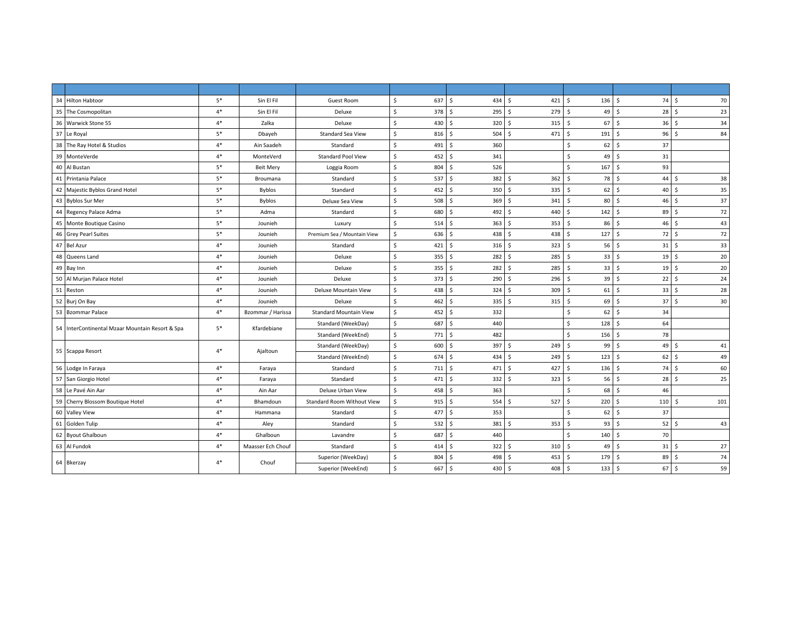| 34 Hilton Habtoor                               | $5*$ | Sin El Fil        | Guest Room                        | \$<br>637 | \$<br>434 \$            | 421       | \$<br>$136 \quad $$  | 74         | 70<br>- Ś            |
|-------------------------------------------------|------|-------------------|-----------------------------------|-----------|-------------------------|-----------|----------------------|------------|----------------------|
| 35 The Cosmopolitan                             | $4*$ | Sin El Fil        | Deluxe                            | \$<br>378 | \$<br>295S              | 279       | 49<br>Ŝ.             | 28<br>l \$ | -\$<br>23            |
| 36 Warwick Stone 55                             | $4*$ | Zalka             | Deluxe                            | \$<br>430 | Ś.<br>$320 \div$        | 315       | 67<br>S.             | l \$<br>36 | 34<br>-\$            |
| 37 Le Royal                                     | $5*$ | Dbayeh            | <b>Standard Sea View</b>          | \$<br>816 | Ś<br>$504 \quad $$      | 471       | Ŝ.<br>191            | l \$<br>96 | $\mathsf{s}$<br>84   |
| 38 The Ray Hotel & Studios                      | $4*$ | Ain Saadeh        | Standard                          | \$<br>491 | Ś.<br>360               |           | 62<br>Ŝ.             | 37<br>۱Ś.  |                      |
| 39<br>MonteVerde                                | $4*$ | MonteVerd         | <b>Standard Pool View</b>         | Ś<br>452  | Š.<br>341               |           | Š.<br>49             | l \$<br>31 |                      |
| 40<br>Al Bustan                                 | $5*$ | <b>Beit Mery</b>  | Loggia Room                       | Ś.<br>804 | Š.<br>526               |           | \$<br>167            | 93<br>S.   |                      |
| 41 Printania Palace                             | $5*$ | Broumana          | Standard                          | \$<br>537 | Ś<br>382                | -Ś<br>362 | Ŝ.<br>78             | 44<br>۱Ś.  | 38<br><sup>5</sup>   |
| 42 Majestic Byblos Grand Hotel                  | $5*$ | <b>Byblos</b>     | Standard                          | Ś.<br>452 | Ś<br>350S               | 335       | 62<br>S.             | 40<br>l S  | 35<br>-Ś             |
| 43 Byblos Sur Mer                               | $5*$ | <b>Byblos</b>     | Deluxe Sea View                   | \$<br>508 | Ś.<br>369 <sup>5</sup>  | 341       | Ŝ.<br>80 \$          | 46         | 37<br>- Ś            |
| 44 Regency Palace Adma                          | $5*$ | Adma              | Standard                          | \$<br>680 | Ś<br>492 \$             | 440       | $142 \quad$ \$<br>\$ | 89         | 72<br>-\$            |
| 45 Monte Boutique Casino                        | $5*$ | Jounieh           | Luxury                            | \$<br>514 | \$<br>$363 \quad $5$    | 353       | Ŝ.<br>86             | l s<br>46  | 43<br>Ŝ.             |
| 46 Grey Pearl Suites                            | $5*$ | Jounieh           | Premium Sea / Mountain View       | \$<br>636 | Ś<br>438 \$             | 438       | Ŝ.<br>127            | 72<br>l s  | 72<br>-\$            |
| 47 Bel Azur                                     | $4*$ | Jounieh           | Standard                          | \$<br>421 | Š.<br>316 <sup>5</sup>  | 323       | 56<br>Ŝ.             | l \$<br>31 | 33<br>S.             |
| 48 Queens Land                                  | $4*$ | Jounieh           | Deluxe                            | \$<br>355 | Ś<br>282                | 285<br>-Ś | Ŝ.<br>33             | 19<br>l s  | 20<br>-Ś             |
| 49 Bay Inn                                      | $4*$ | Jounieh           | Deluxe                            | \$<br>355 | $282 \quad $$<br>Š.     | 285       | $\mathsf{S}$<br>33   | l s<br>19  | 20<br>Ŝ.             |
| 50 Al Murjan Palace Hotel                       | $4*$ | Jounieh           | Deluxe                            | Ś<br>373  | Ś.<br>290S              | 296       | Ŝ.<br>39             | 22<br>l \$ | 24<br>-\$            |
| 51 Reston                                       | $4*$ | Jounieh           | Deluxe Mountain View              | \$<br>438 | \$<br>$324$ \$          | 309       | Ŝ.<br>61             | l \$<br>33 | 28<br>S.             |
| 52 Burj On Bay                                  | $4*$ | Jounieh           | Deluxe                            | \$<br>462 | Ś<br>335                | S.<br>315 | 69<br>Ŝ.             | l s<br>37  | 30<br>Ŝ.             |
| 53 Bzommar Palace                               | $4*$ | Bzommar / Harissa | <b>Standard Mountain View</b>     | Ś<br>452  | Ś.<br>332               |           | Ŝ.<br>62             | 34<br>۱Ś.  |                      |
| 54 InterContinental Mzaar Mountain Resort & Spa | $5*$ |                   | Standard (WeekDay)                | \$<br>687 | Ś<br>440                |           | 128<br>\$            | 64<br>۱s   |                      |
|                                                 |      | Kfardebiane       | Standard (WeekEnd)                | \$<br>771 | Ś.<br>482               |           | \$<br>156            | l \$<br>78 |                      |
| 55 Scappa Resort                                | $4*$ | Ajaltoun          | Standard (WeekDay)                | \$<br>600 | Ś<br>397                | Ŝ.<br>249 | 99<br>\$             | 49<br>۱Ś.  | 41<br>-S             |
|                                                 |      |                   | Standard (WeekEnd)                | \$<br>674 | \$<br>434 \$            | 249       | \$<br>123            | l \$<br>62 | 49<br>- Ś            |
| 56 Lodge In Faraya                              | $4*$ | Faraya            | Standard                          | \$<br>711 | Ŝ.<br>471 \$            | 427       | $136 \quad $$<br>\$  | 74         | 60<br>-\$            |
| 57 San Giorgio Hotel                            | $4*$ | Faraya            | Standard                          | \$<br>471 | \$<br>$332 \quad $$     | 323       | $56$ \$<br>\$        | 28         | 25<br>Ŝ              |
| 58 Le Pavé Ain Aar                              | $4*$ | Ain Aar           | Deluxe Urban View                 | \$<br>458 | Ś<br>363                |           | <sub>S</sub><br>68   | 46<br>l s  |                      |
| 59 Cherry Blossom Boutique Hotel                | $4*$ | Bhamdoun          | <b>Standard Room Without View</b> | Ś<br>915  | $554$ \$<br>\$          | 527       | 220<br>Ŝ.            | l s<br>110 | 101<br><sup>\$</sup> |
| 60 Valley View                                  | $4*$ | Hammana           | Standard                          | \$<br>477 | Š.<br>353               |           | 62<br>Ŝ.             | 37<br>۱Ś.  |                      |
| 61 Golden Tulip                                 | $4*$ | Aley              | Standard                          | Ś.<br>532 | Ś.<br>381               | Ŝ.<br>353 | 93<br>Ŝ.             | l \$<br>52 | 43<br>-Ś             |
| 62 Byout Ghalboun                               | $4*$ | Ghalboun          | Lavandre                          | \$<br>687 | Ś<br>440                |           | Ŝ.<br>140            | 70<br>l \$ |                      |
| 63 Al Fundok                                    | $4*$ | Maasser Ech Chouf | Standard                          | \$<br>414 | Ś<br>$322 \quad$ \$     | 310       | Ŝ.<br>$49$ \$        | 31         | 27<br>- Ś            |
| 64 Bkerzay                                      |      | Chouf             | Superior (WeekDay)                | \$<br>804 | 498 \$<br>Ś.            | 453       | Ŝ.<br>179            | 89<br>l \$ | 74<br>-\$            |
|                                                 | $4*$ |                   | Superior (WeekEnd)                | \$<br>667 | $\frac{1}{2}$<br>430 \$ | 408       | $133 \quad $5$<br>\$ | 67         | 59<br>l\$            |